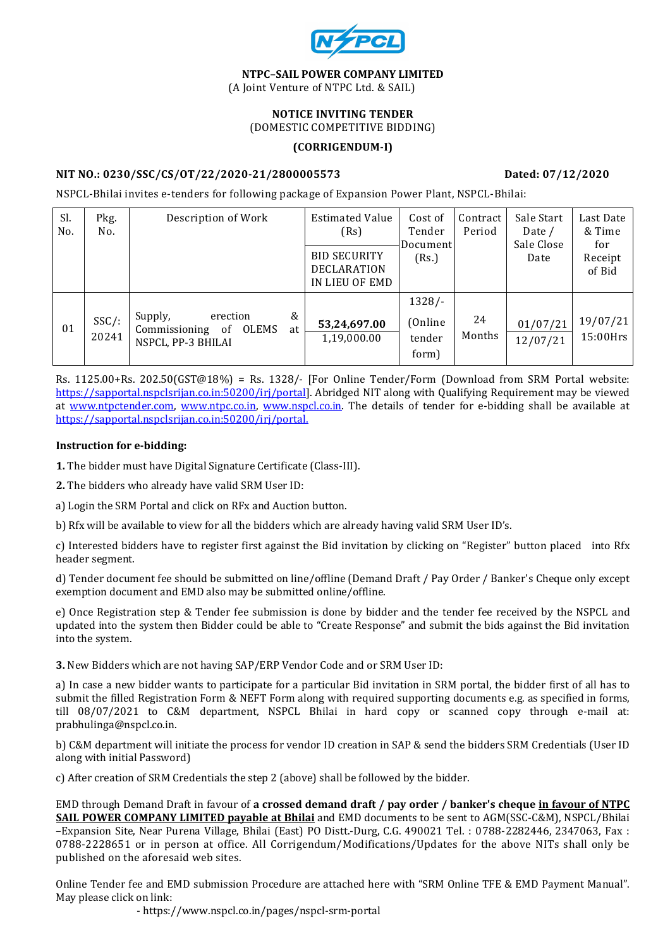

NTPC–SAIL POWER COMPANY LIMITED

(A Joint Venture of NTPC Ltd. & SAIL)

# NOTICE INVITING TENDER

(DOMESTIC COMPETITIVE BIDDING)

#### (CORRIGENDUM-I)

## NIT NO.: 0230/SSC/CS/OT/22/2020-21/2800005573 Dated: 07/12/2020

NSPCL-Bhilai invites e-tenders for following package of Expansion Power Plant, NSPCL-Bhilai:

| Sl.<br>No. | Pkg.<br>No.       | Description of Work                                                                                    | <b>Estimated Value</b><br>(Rs)<br><b>BID SECURITY</b><br><b>DECLARATION</b><br>IN LIEU OF EMD | Cost of<br>Tender<br>Document<br>(Rs.) | Contract<br>Period | Sale Start<br>Date /<br>Sale Close<br>Date | Last Date<br>& Time<br>for<br>Receipt<br>of Bid |
|------------|-------------------|--------------------------------------------------------------------------------------------------------|-----------------------------------------------------------------------------------------------|----------------------------------------|--------------------|--------------------------------------------|-------------------------------------------------|
| 01         | $SSC/$ :<br>20241 | &<br>Supply,<br>erection<br><b>OLEMS</b><br>Commissioning<br><sub>of</sub><br>at<br>NSPCL, PP-3 BHILAI | 53,24,697.00<br>1,19,000.00                                                                   | $1328/-$<br>(Online<br>tender<br>form) | 24<br>Months       | 01/07/21<br>12/07/21                       | 19/07/21<br>$15:00$ Hrs                         |

Rs. 1125.00+Rs. 202.50(GST@18%) = Rs. 1328/- [For Online Tender/Form (Download from SRM Portal website: https://sapportal.nspclsrijan.co.in:50200/irj/portal]. Abridged NIT along with Qualifying Requirement may be viewed at www.ntpctender.com, www.ntpc.co.in, www.nspcl.co.in. The details of tender for e-bidding shall be available at https://sapportal.nspclsrijan.co.in:50200/irj/portal.

#### Instruction for e-bidding:

1. The bidder must have Digital Signature Certificate (Class-III).

2. The bidders who already have valid SRM User ID:

a) Login the SRM Portal and click on RFx and Auction button.

b) Rfx will be available to view for all the bidders which are already having valid SRM User ID's.

c) Interested bidders have to register first against the Bid invitation by clicking on "Register" button placed into Rfx header segment.

d) Tender document fee should be submitted on line/offline (Demand Draft / Pay Order / Banker's Cheque only except exemption document and EMD also may be submitted online/offline.

e) Once Registration step & Tender fee submission is done by bidder and the tender fee received by the NSPCL and updated into the system then Bidder could be able to "Create Response" and submit the bids against the Bid invitation into the system.

3. New Bidders which are not having SAP/ERP Vendor Code and or SRM User ID:

a) In case a new bidder wants to participate for a particular Bid invitation in SRM portal, the bidder first of all has to submit the filled Registration Form & NEFT Form along with required supporting documents e.g. as specified in forms, till 08/07/2021 to C&M department, NSPCL Bhilai in hard copy or scanned copy through e-mail at: prabhulinga@nspcl.co.in.

b) C&M department will initiate the process for vendor ID creation in SAP & send the bidders SRM Credentials (User ID along with initial Password)

c) After creation of SRM Credentials the step 2 (above) shall be followed by the bidder.

EMD through Demand Draft in favour of a crossed demand draft / pay order / banker's cheque in favour of NTPC SAIL POWER COMPANY LIMITED payable at Bhilai and EMD documents to be sent to AGM(SSC-C&M), NSPCL/Bhilai –Expansion Site, Near Purena Village, Bhilai (East) PO Distt.-Durg, C.G. 490021 Tel. : 0788-2282446, 2347063, Fax : 0788-2228651 or in person at office. All Corrigendum/Modifications/Updates for the above NITs shall only be published on the aforesaid web sites.

Online Tender fee and EMD submission Procedure are attached here with "SRM Online TFE & EMD Payment Manual". May please click on link:

- https://www.nspcl.co.in/pages/nspcl-srm-portal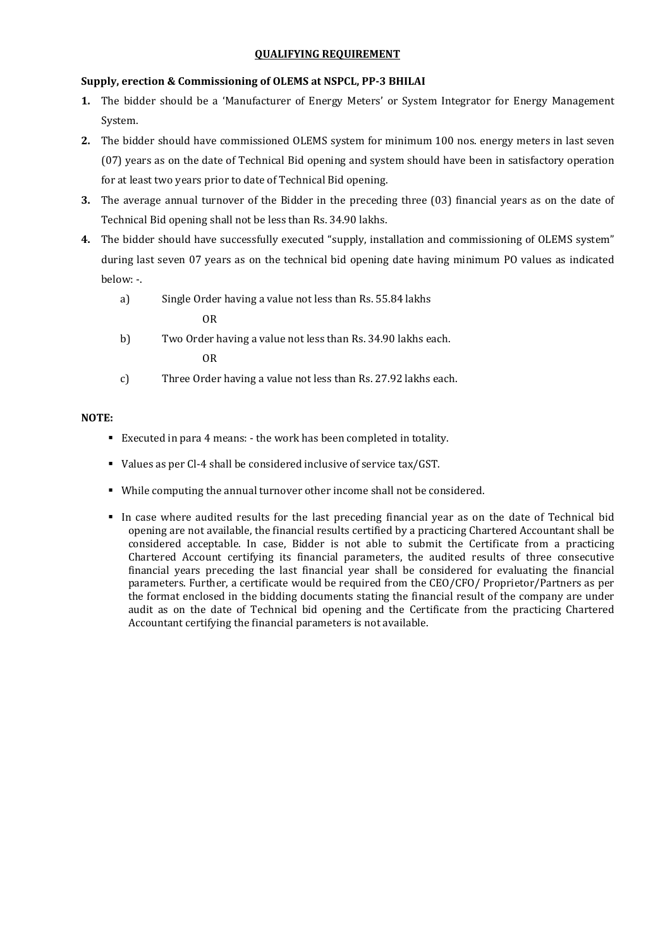#### QUALIFYING REQUIREMENT

#### Supply, erection & Commissioning of OLEMS at NSPCL, PP-3 BHILAI

- 1. The bidder should be a 'Manufacturer of Energy Meters' or System Integrator for Energy Management System.
- 2. The bidder should have commissioned OLEMS system for minimum 100 nos. energy meters in last seven (07) years as on the date of Technical Bid opening and system should have been in satisfactory operation for at least two years prior to date of Technical Bid opening.
- 3. The average annual turnover of the Bidder in the preceding three (03) financial years as on the date of Technical Bid opening shall not be less than Rs. 34.90 lakhs.
- 4. The bidder should have successfully executed "supply, installation and commissioning of OLEMS system" during last seven 07 years as on the technical bid opening date having minimum PO values as indicated below: -.
	- a) Single Order having a value not less than Rs. 55.84 lakhs

OR

- b) Two Order having a value not less than Rs. 34.90 lakhs each. OR
- c) Three Order having a value not less than Rs. 27.92 lakhs each.

#### NOTE:

- Executed in para 4 means: the work has been completed in totality.
- Values as per Cl-4 shall be considered inclusive of service tax/GST.
- While computing the annual turnover other income shall not be considered.
- In case where audited results for the last preceding financial year as on the date of Technical bid opening are not available, the financial results certified by a practicing Chartered Accountant shall be considered acceptable. In case, Bidder is not able to submit the Certificate from a practicing Chartered Account certifying its financial parameters, the audited results of three consecutive financial years preceding the last financial year shall be considered for evaluating the financial parameters. Further, a certificate would be required from the CEO/CFO/ Proprietor/Partners as per the format enclosed in the bidding documents stating the financial result of the company are under audit as on the date of Technical bid opening and the Certificate from the practicing Chartered Accountant certifying the financial parameters is not available.